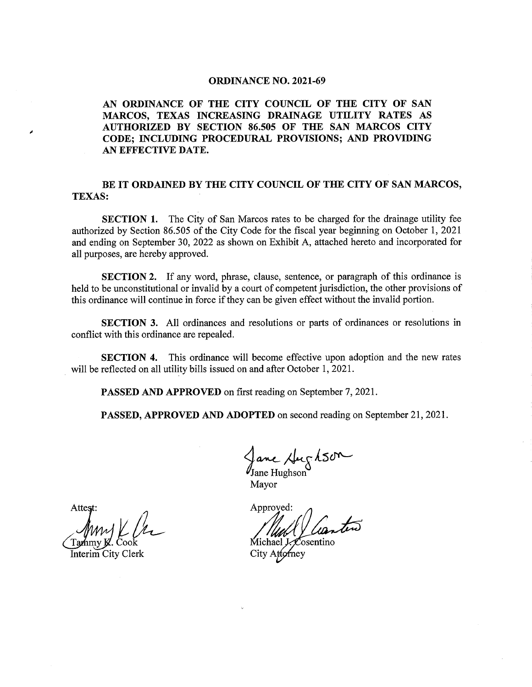## **ORDINANCE NO. 2021-69**

AN ORDINANCE OF THE CITY COUNCIL OF THE CITY OF SAN MARCOS, TEXAS INCREASING DRAINAGE UTILITY RATES AS AUTHORIZED BY SECTION 86.505 OF THE SAN MARCOS CITY CODE; INCLUDING PROCEDURAL PROVISIONS; AND PROVIDING AN EFFECTIVE DATE.

## BE IT ORDAINED BY THE CITY COUNCIL OF THE CITY OF SAN MARCOS, TEXAS:

SECTION 1. The City of San Marcos rates to be charged for the drainage utility fee authorized by Section 86. 505 of the City Code for the fiscal year beginning on October 1, 2021 and ending on September 30, 2022 as shown on Exhibit A, attached hereto and incorporated for all purposes, are hereby approved.

SECTION 2. If any word, phrase, clause, sentence, or paragraph of this ordinance is held to be unconstitutional or invalid by <sup>a</sup> court of competent jurisdiction, the other provisions of this ordinance will continue in force if they can be given effect without the invalid portion.

SECTION 3. All ordinances and resolutions or parts of ordinances or resolutions in conflict with this ordinance are repealed.

SECTION 4. This ordinance will become effective upon adoption and the new rates will be reflected on all utility bills issued on and after October 1, 2021.

PASSED AND APPROVED on first reading on September 7, 2021.

PASSED, APPROVED AND ADOPTED on second reading on September 21, 2021.

ane,

Jane Hughson Mayor

Approved:

Michael J. Cosentino City Attorney

Attest

y **J**Z. Coc

Interim City Clerk